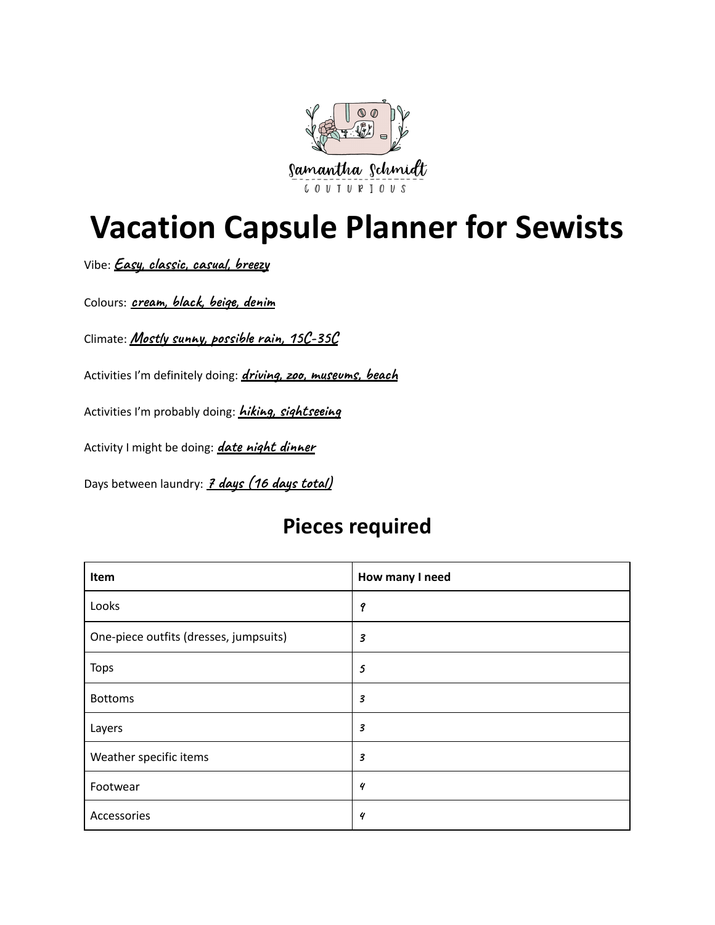

## **Vacation Capsule Planner for Sewists**

Vibe: *Easy*, *classic*, *casual*, *breezy* 

**colours:** *cream*, *black*, *beige*, *denim* 

**Climate:** Mostly sunny, possible rain, 15C-35C

Activities I'm definitely doing: *driving, 200, museums, beach* 

Activities I'm probably doing: *hiking, sightseeing* 

Activity I might be doing: *date night dinner* 

Days between laundry: **7** days (16 days total)

## **Pieces required**

| Item                                   | How many I need            |
|----------------------------------------|----------------------------|
| Looks                                  | 9                          |
| One-piece outfits (dresses, jumpsuits) | 3                          |
| <b>Tops</b>                            | 5                          |
| <b>Bottoms</b>                         | $\boldsymbol{\mathcal{S}}$ |
| Layers                                 | 3                          |
| Weather specific items                 | 3                          |
| Footwear                               | 4                          |
| Accessories                            | 4                          |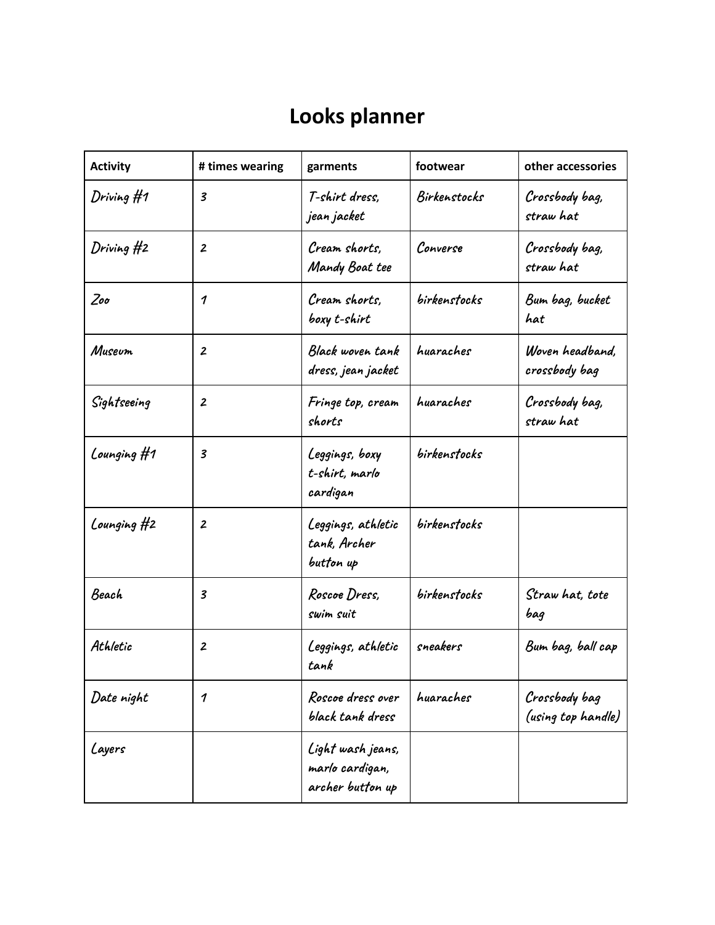## **Looks planner**

| <b>Activity</b> | # times wearing         | garments                                                 | footwear     | other accessories                   |
|-----------------|-------------------------|----------------------------------------------------------|--------------|-------------------------------------|
| Driving #1      | $\boldsymbol{3}$        | T-shirt dress,<br>jean jacket                            | Birkenstocks | Crossbody bag,<br>straw hat         |
| Driving #2      | $\boldsymbol{z}$        | Cream shorts,<br>Mandy Boat tee                          | Converse     | Crossbody bag,<br>straw hat         |
| $Zo$ o          | 1                       | Cream shorts,<br>boxy t-shirt                            | birkenstocks | Bum bag, bucket<br>hat              |
| Museum          | $\overline{2}$          | Black woven tank<br>dress, jean jacket                   | huaraches    | Woven headband,<br>crossbody bag    |
| Sightseeing     | $\boldsymbol{z}$        | Fringe top, cream<br>shorts                              | huaraches    | Crossbody bag,<br>straw hat         |
| Lounging $#1$   | $\overline{\mathbf{3}}$ | Leggings, boxy<br>t-shirt, marlo<br>cardigan             | birkenstocks |                                     |
| Lounging #2     | $\boldsymbol{z}$        | Leggings, athletic<br>tank, Archer<br>button up          | birkenstocks |                                     |
| Beach           | 3                       | Roscoe Dress,<br>swim suit                               | birkenstocks | Straw hat, tote<br>bag              |
| Athletic        | $\boldsymbol{2}$        | Leggings, athletic<br>tank                               | sneakers     | Bum bag, ball cap                   |
| Date night      | 1                       | Roscoe dress over<br>black tank dress                    | huaraches    | Crossbody bag<br>(using top handle) |
| Layers          |                         | Light wash jeans,<br>marlo cardigan,<br>archer button up |              |                                     |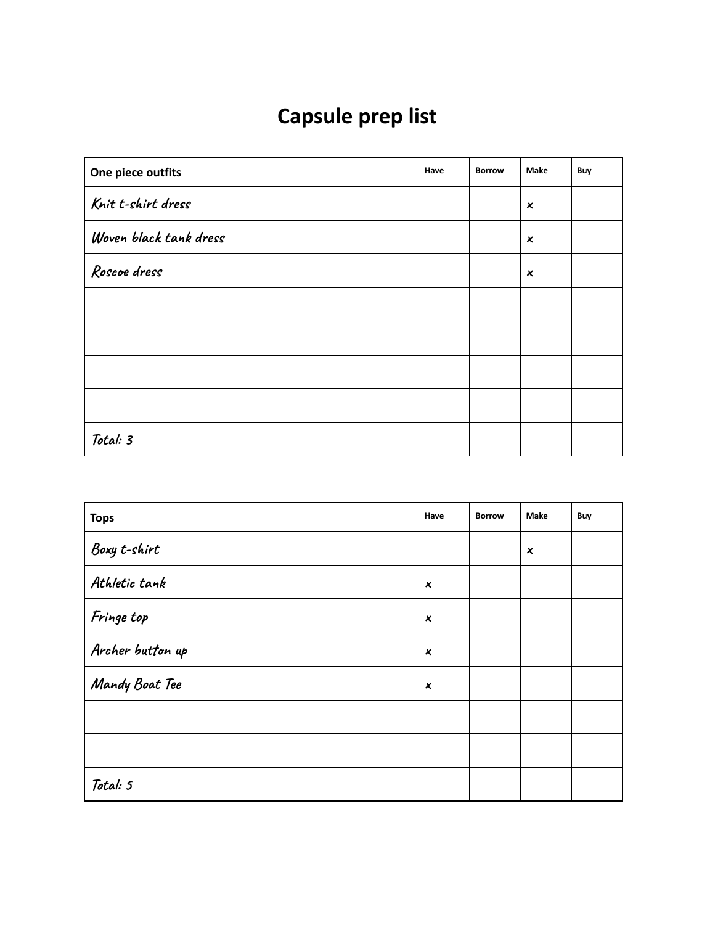## **Capsule prep list**

| One piece outfits      | Have | <b>Borrow</b> | Make                      | Buy |
|------------------------|------|---------------|---------------------------|-----|
| Knit t-shirt dress     |      |               | $\boldsymbol{\mathsf{x}}$ |     |
| Woven black tank dress |      |               | $\boldsymbol{\mathsf{x}}$ |     |
| Roscoe dress           |      |               | x                         |     |
|                        |      |               |                           |     |
|                        |      |               |                           |     |
|                        |      |               |                           |     |
|                        |      |               |                           |     |
| Total: 3               |      |               |                           |     |

| <b>Tops</b>      | Have             | <b>Borrow</b> | Make           | Buy |
|------------------|------------------|---------------|----------------|-----|
| Boxy t-shirt     |                  |               | $\pmb{\times}$ |     |
| Athletic tank    | $\boldsymbol{x}$ |               |                |     |
| Fringe top       | $\boldsymbol{x}$ |               |                |     |
| Archer button up | $\boldsymbol{x}$ |               |                |     |
| Mandy Boat Tee   | $\pmb{\times}$   |               |                |     |
|                  |                  |               |                |     |
|                  |                  |               |                |     |
| Total: 5         |                  |               |                |     |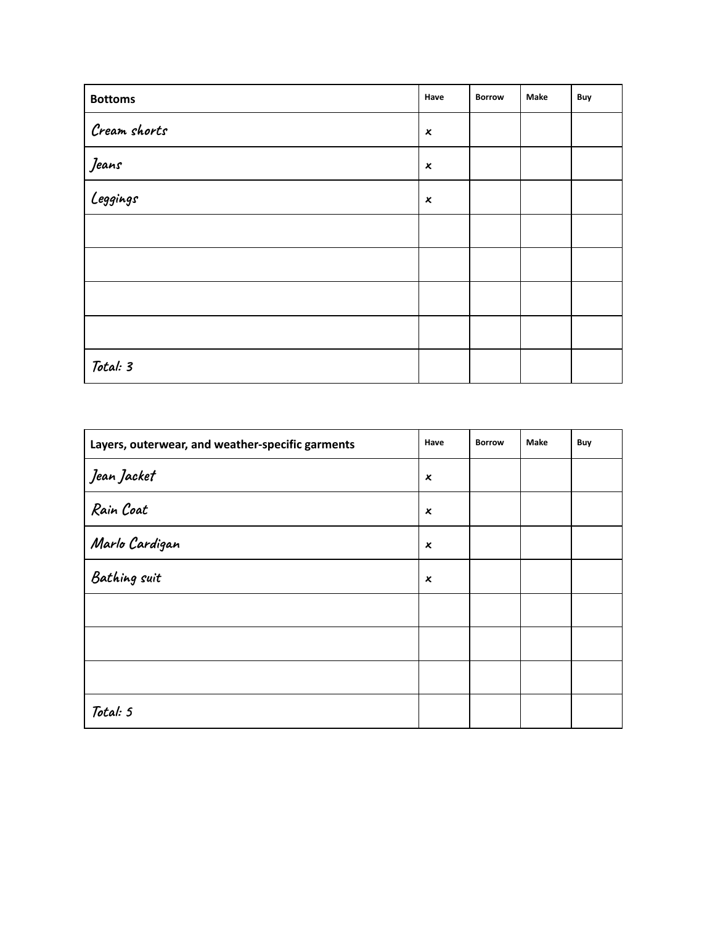| <b>Bottoms</b>       | Have             | <b>Borrow</b> | Make | Buy |
|----------------------|------------------|---------------|------|-----|
| Cream shorts         | $\pmb{\times}$   |               |      |     |
| Jeans                | $\boldsymbol{x}$ |               |      |     |
| <u>-</u><br>Leggings | $\pmb{\times}$   |               |      |     |
|                      |                  |               |      |     |
|                      |                  |               |      |     |
|                      |                  |               |      |     |
|                      |                  |               |      |     |
| Total: 3             |                  |               |      |     |

| Layers, outerwear, and weather-specific garments | Have                      | <b>Borrow</b> | Make | Buy |
|--------------------------------------------------|---------------------------|---------------|------|-----|
| Jean Jacket                                      | x                         |               |      |     |
| Rain Coat                                        | x                         |               |      |     |
| Marlo Cardigan                                   | x                         |               |      |     |
| Bathing suit                                     | $\boldsymbol{\mathsf{x}}$ |               |      |     |
|                                                  |                           |               |      |     |
|                                                  |                           |               |      |     |
|                                                  |                           |               |      |     |
| Total: 5                                         |                           |               |      |     |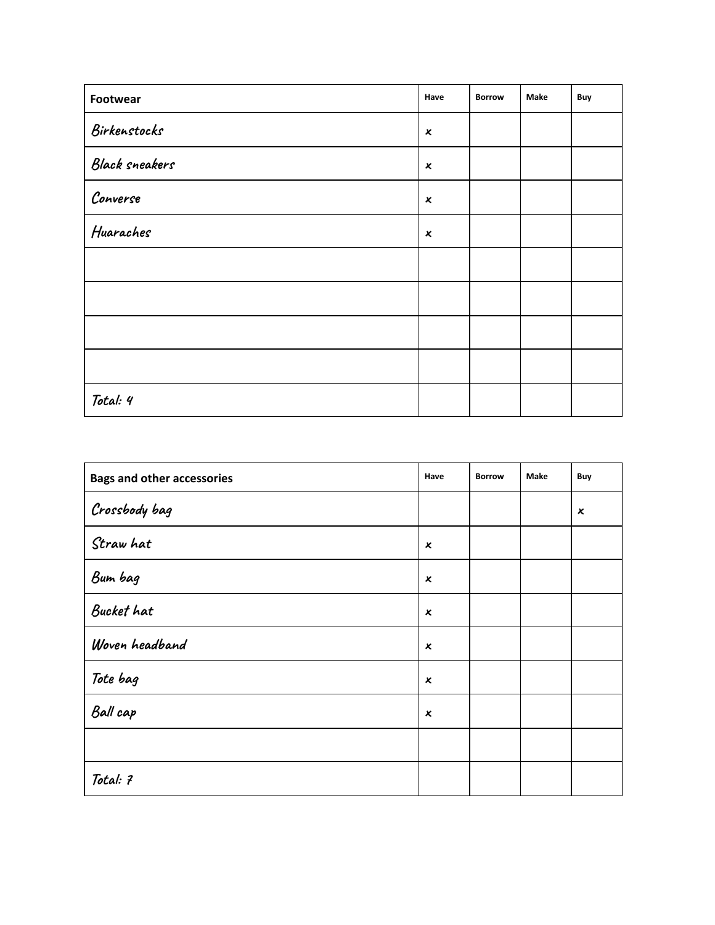| Footwear              | Have                      | <b>Borrow</b> | Make | Buy |
|-----------------------|---------------------------|---------------|------|-----|
| Birkenstocks          | $\pmb{\times}$            |               |      |     |
| <b>Black sneakers</b> | $\pmb{\chi}$              |               |      |     |
| Converse              | $\boldsymbol{\mathsf{x}}$ |               |      |     |
| Huaraches             | $\boldsymbol{x}$          |               |      |     |
|                       |                           |               |      |     |
|                       |                           |               |      |     |
|                       |                           |               |      |     |
|                       |                           |               |      |     |
| Total: 4              |                           |               |      |     |

| <b>Bags and other accessories</b> | Have             | <b>Borrow</b> | Make | Buy                       |
|-----------------------------------|------------------|---------------|------|---------------------------|
| Crossbody bag                     |                  |               |      | $\boldsymbol{\mathsf{x}}$ |
| Straw hat                         | x                |               |      |                           |
| Bum bag                           | $\boldsymbol{x}$ |               |      |                           |
| Bucket hat                        | x                |               |      |                           |
| Woven headband                    | $\boldsymbol{x}$ |               |      |                           |
| Tote bag                          | X                |               |      |                           |
| Ball cap                          | X                |               |      |                           |
|                                   |                  |               |      |                           |
| Total: 7                          |                  |               |      |                           |